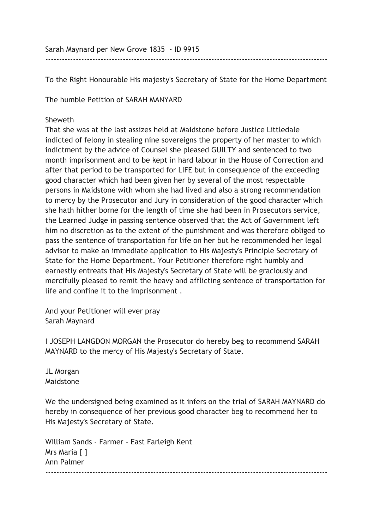Sarah Maynard per New Grove 1835 - ID 9915

To the Right Honourable His majesty's Secretary of State for the Home Department

------------------------------------------------------------------------------------------------------

The humble Petition of SARAH MANYARD

## Sheweth

That she was at the last assizes held at Maidstone before Justice Littledale indicted of felony in stealing nine sovereigns the property of her master to which indictment by the advice of Counsel she pleased GUILTY and sentenced to two month imprisonment and to be kept in hard labour in the House of Correction and after that period to be transported for LIFE but in consequence of the exceeding good character which had been given her by several of the most respectable persons in Maidstone with whom she had lived and also a strong recommendation to mercy by the Prosecutor and Jury in consideration of the good character which she hath hither borne for the length of time she had been in Prosecutors service, the Learned Judge in passing sentence observed that the Act of Government left him no discretion as to the extent of the punishment and was therefore obliged to pass the sentence of transportation for life on her but he recommended her legal advisor to make an immediate application to His Majesty's Principle Secretary of State for the Home Department. Your Petitioner therefore right humbly and earnestly entreats that His Majesty's Secretary of State will be graciously and mercifully pleased to remit the heavy and afflicting sentence of transportation for life and confine it to the imprisonment .

And your Petitioner will ever pray Sarah Maynard

I JOSEPH LANGDON MORGAN the Prosecutor do hereby beg to recommend SARAH MAYNARD to the mercy of His Majesty's Secretary of State.

JL Morgan Maidstone

We the undersigned being examined as it infers on the trial of SARAH MAYNARD do hereby in consequence of her previous good character beg to recommend her to His Majesty's Secretary of State.

William Sands - Farmer - East Farleigh Kent Mrs Maria [ ] Ann Palmer ------------------------------------------------------------------------------------------------------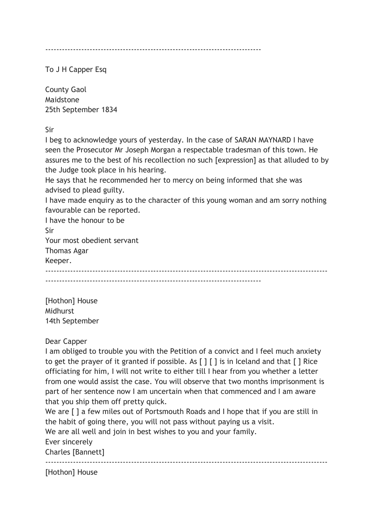------------------------------------------------------------------------------

To J H Capper Esq

County Gaol Maidstone 25th September 1834

Sir

I beg to acknowledge yours of yesterday. In the case of SARAN MAYNARD I have seen the Prosecutor Mr Joseph Morgan a respectable tradesman of this town. He assures me to the best of his recollection no such [expression] as that alluded to by the Judge took place in his hearing.

He says that he recommended her to mercy on being informed that she was advised to plead guilty.

I have made enquiry as to the character of this young woman and am sorry nothing favourable can be reported.

I have the honour to be Sir Your most obedient servant Thomas Agar Keeper. ------------------------------------------------------------------------------------------------------ ------------------------------------------------------------------------------

[Hothon] House **Midhurst** 14th September

## Dear Capper

I am obliged to trouble you with the Petition of a convict and I feel much anxiety to get the prayer of it granted if possible. As  $\lceil \cdot \rceil$  is in Iceland and that  $\lceil \cdot \rceil$  Rice officiating for him, I will not write to either till I hear from you whether a letter from one would assist the case. You will observe that two months imprisonment is part of her sentence now I am uncertain when that commenced and I am aware that you ship them off pretty quick.

We are  $\lceil \cdot \rceil$  a few miles out of Portsmouth Roads and I hope that if you are still in the habit of going there, you will not pass without paying us a visit.

We are all well and join in best wishes to you and your family.

Ever sincerely

Charles [Bannett]

------------------------------------------------------------------------------------------------------

[Hothon] House